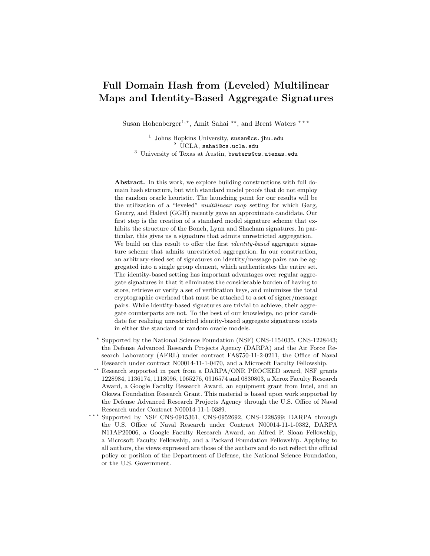# Full Domain Hash from (Leveled) Multilinear Maps and Identity-Based Aggregate Signatures

Susan Hohenberger<sup>1,\*</sup>, Amit Sahai<sup>\*\*</sup>, and Brent Waters \*\*\*

<sup>1</sup> Johns Hopkins University, susan@cs.jhu.edu  $^{2}$  UCLA, sahai@cs.ucla.edu <sup>3</sup> University of Texas at Austin, bwaters@cs.utexas.edu

Abstract. In this work, we explore building constructions with full domain hash structure, but with standard model proofs that do not employ the random oracle heuristic. The launching point for our results will be the utilization of a "leveled" multilinear map setting for which Garg, Gentry, and Halevi (GGH) recently gave an approximate candidate. Our first step is the creation of a standard model signature scheme that exhibits the structure of the Boneh, Lynn and Shacham signatures. In particular, this gives us a signature that admits unrestricted aggregation. We build on this result to offer the first *identity-based* aggregate signature scheme that admits unrestricted aggregation. In our construction, an arbitrary-sized set of signatures on identity/message pairs can be aggregated into a single group element, which authenticates the entire set. The identity-based setting has important advantages over regular aggregate signatures in that it eliminates the considerable burden of having to store, retrieve or verify a set of verification keys, and minimizes the total cryptographic overhead that must be attached to a set of signer/message pairs. While identity-based signatures are trivial to achieve, their aggregate counterparts are not. To the best of our knowledge, no prior candidate for realizing unrestricted identity-based aggregate signatures exists in either the standard or random oracle models.

<sup>?</sup> Supported by the National Science Foundation (NSF) CNS-1154035, CNS-1228443; the Defense Advanced Research Projects Agency (DARPA) and the Air Force Research Laboratory (AFRL) under contract FA8750-11-2-0211, the Office of Naval Research under contract N00014-11-1-0470, and a Microsoft Faculty Fellowship.

Research supported in part from a DARPA/ONR PROCEED award, NSF grants 1228984, 1136174, 1118096, 1065276, 0916574 and 0830803, a Xerox Faculty Research Award, a Google Faculty Research Award, an equipment grant from Intel, and an Okawa Foundation Research Grant. This material is based upon work supported by the Defense Advanced Research Projects Agency through the U.S. Office of Naval Research under Contract N00014-11-1-0389.

<sup>\*\*\*</sup> Supported by NSF CNS-0915361, CNS-0952692, CNS-1228599; DARPA through the U.S. Office of Naval Research under Contract N00014-11-1-0382, DARPA N11AP20006, a Google Faculty Research Award, an Alfred P. Sloan Fellowship, a Microsoft Faculty Fellowship, and a Packard Foundation Fellowship. Applying to all authors, the views expressed are those of the authors and do not reflect the official policy or position of the Department of Defense, the National Science Foundation, or the U.S. Government.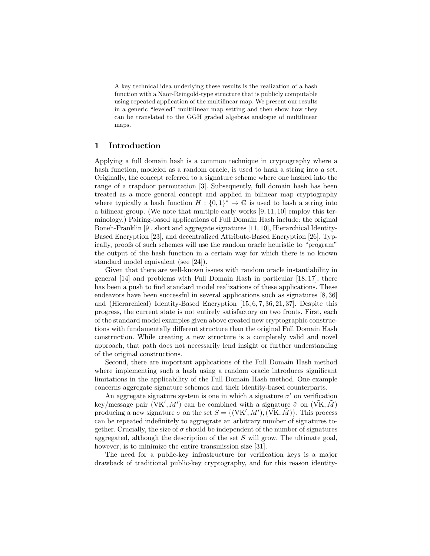A key technical idea underlying these results is the realization of a hash function with a Naor-Reingold-type structure that is publicly computable using repeated application of the multilinear map. We present our results in a generic "leveled" multilinear map setting and then show how they can be translated to the GGH graded algebras analogue of multilinear maps.

# 1 Introduction

Applying a full domain hash is a common technique in cryptography where a hash function, modeled as a random oracle, is used to hash a string into a set. Originally, the concept referred to a signature scheme where one hashed into the range of a trapdoor permutation [3]. Subsequently, full domain hash has been treated as a more general concept and applied in bilinear map cryptography where typically a hash function  $H: \{0,1\}^* \to \mathbb{G}$  is used to hash a string into a bilinear group. (We note that multiple early works [9, 11, 10] employ this terminology.) Pairing-based applications of Full Domain Hash include: the original Boneh-Franklin [9], short and aggregate signatures [11, 10], Hierarchical Identity-Based Encryption [23], and decentralized Attribute-Based Encryption [26]. Typically, proofs of such schemes will use the random oracle heuristic to "program" the output of the hash function in a certain way for which there is no known standard model equivalent (see [24]).

Given that there are well-known issues with random oracle instantiability in general [14] and problems with Full Domain Hash in particular [18, 17], there has been a push to find standard model realizations of these applications. These endeavors have been successful in several applications such as signatures [8, 36] and (Hierarchical) Identity-Based Encryption [15, 6, 7, 36, 21, 37]. Despite this progress, the current state is not entirely satisfactory on two fronts. First, each of the standard model examples given above created new cryptographic constructions with fundamentally different structure than the original Full Domain Hash construction. While creating a new structure is a completely valid and novel approach, that path does not necessarily lend insight or further understanding of the original constructions.

Second, there are important applications of the Full Domain Hash method where implementing such a hash using a random oracle introduces significant limitations in the applicability of the Full Domain Hash method. One example concerns aggregate signature schemes and their identity-based counterparts.

An aggregate signature system is one in which a signature  $\sigma'$  on verification key/message pair  $(VK', M')$  can be combined with a signature  $\tilde{\sigma}$  on  $(VK, \tilde{M})$ producing a new signature  $\sigma$  on the set  $S = \{(\nabla \mathbf{K}', M'), (\tilde{\mathbf{V}}\mathbf{K}, \tilde{M})\}\$ . This process can be repeated indefinitely to aggregrate an arbitrary number of signatures together. Crucially, the size of  $\sigma$  should be independent of the number of signatures aggregated, although the description of the set  $S$  will grow. The ultimate goal, however, is to minimize the entire transmission size [31].

The need for a public-key infrastructure for verification keys is a major drawback of traditional public-key cryptography, and for this reason identity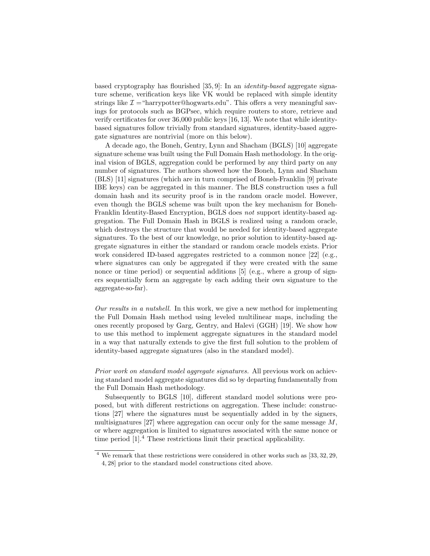based cryptography has flourished [35, 9]: In an identity-based aggregate signature scheme, verification keys like VK would be replaced with simple identity strings like  $\mathcal{I} =$  "harrypotter@hogwarts.edu". This offers a very meaningful savings for protocols such as BGPsec, which require routers to store, retrieve and verify certificates for over 36,000 public keys [16, 13]. We note that while identitybased signatures follow trivially from standard signatures, identity-based aggregate signatures are nontrivial (more on this below).

A decade ago, the Boneh, Gentry, Lynn and Shacham (BGLS) [10] aggregate signature scheme was built using the Full Domain Hash methodology. In the original vision of BGLS, aggregation could be performed by any third party on any number of signatures. The authors showed how the Boneh, Lynn and Shacham (BLS) [11] signatures (which are in turn comprised of Boneh-Franklin [9] private IBE keys) can be aggregated in this manner. The BLS construction uses a full domain hash and its security proof is in the random oracle model. However, even though the BGLS scheme was built upon the key mechanism for Boneh-Franklin Identity-Based Encryption, BGLS does not support identity-based aggregation. The Full Domain Hash in BGLS is realized using a random oracle, which destroys the structure that would be needed for identity-based aggregate signatures. To the best of our knowledge, no prior solution to identity-based aggregate signatures in either the standard or random oracle models exists. Prior work considered ID-based aggregates restricted to a common nonce [22] (e.g., where signatures can only be aggregated if they were created with the same nonce or time period) or sequential additions  $[5]$  (e.g., where a group of signers sequentially form an aggregate by each adding their own signature to the aggregate-so-far).

Our results in a nutshell. In this work, we give a new method for implementing the Full Domain Hash method using leveled multilinear maps, including the ones recently proposed by Garg, Gentry, and Halevi (GGH) [19]. We show how to use this method to implement aggregate signatures in the standard model in a way that naturally extends to give the first full solution to the problem of identity-based aggregate signatures (also in the standard model).

Prior work on standard model aggregate signatures. All previous work on achieving standard model aggregate signatures did so by departing fundamentally from the Full Domain Hash methodology.

Subsequently to BGLS [10], different standard model solutions were proposed, but with different restrictions on aggregation. These include: constructions [27] where the signatures must be sequentially added in by the signers, multisignatures [27] where aggregation can occur only for the same message  $M$ . or where aggregation is limited to signatures associated with the same nonce or time period [1].<sup>4</sup> These restrictions limit their practical applicability.

 $4$  We remark that these restrictions were considered in other works such as [33, 32, 29, 4, 28] prior to the standard model constructions cited above.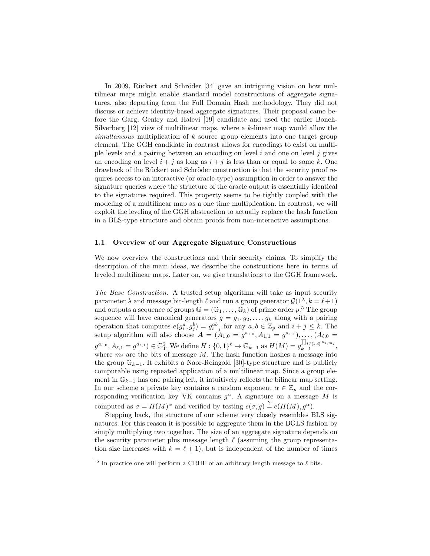In 2009, Rückert and Schröder [34] gave an intriguing vision on how multilinear maps might enable standard model constructions of aggregate signatures, also departing from the Full Domain Hash methodology. They did not discuss or achieve identity-based aggregate signatures. Their proposal came before the Garg, Gentry and Halevi [19] candidate and used the earlier Boneh-Silverberg [12] view of multilinear maps, where a k-linear map would allow the simultaneous multiplication of k source group elements into one target group element. The GGH candidate in contrast allows for encodings to exist on multiple levels and a pairing between an encoding on level i and one on level j gives an encoding on level  $i + j$  as long as  $i + j$  is less than or equal to some k. One drawback of the Rückert and Schröder construction is that the security proof requires access to an interactive (or oracle-type) assumption in order to answer the signature queries where the structure of the oracle output is essentially identical to the signatures required. This property seems to be tightly coupled with the modeling of a multilinear map as a one time multiplication. In contrast, we will exploit the leveling of the GGH abstraction to actually replace the hash function in a BLS-type structure and obtain proofs from non-interactive assumptions.

#### 1.1 Overview of our Aggregate Signature Constructions

We now overview the constructions and their security claims. To simplify the description of the main ideas, we describe the constructions here in terms of leveled multilinear maps. Later on, we give translations to the GGH framework.

The Base Construction. A trusted setup algorithm will take as input security parameter  $\lambda$  and message bit-length  $\ell$  and run a group generator  $\mathcal{G}(1^{\lambda}, k = \ell + 1)$ and outputs a sequence of groups  $\mathbb{G} = (\mathbb{G}_1, \ldots, \mathbb{G}_k)$  of prime order  $p^{\cdot 5}$ . The group sequence will have canonical generators  $g = g_1, g_2, \ldots, g_k$  along with a pairing operation that computes  $e(g_i^a, g_j^b) = g_{i+j}^{ab}$  for any  $a, b \in \mathbb{Z}_p$  and  $i + j \leq k$ . The setup algorithm will also choose  $A = (A_{1,0} = g^{a_{1,0}}, A_{1,1} = g^{a_{1,1}}), \ldots, (A_{\ell,0} = g^{(\ell)}),$  $g^{a_{\ell,0}}, A_{\ell,1} = g^{a_{\ell,1}}) \in \mathbb{G}_1^2$ . We define  $H: \{0,1\}^{\ell} \to \mathbb{G}_{k-1}$  as  $H(M) = g_{k-1}^{\prod_{i \in [1,\ell]} a_{i,m_i}}$ , where  $m_i$  are the bits of message  $M$ . The hash function hashes a message into the group  $\mathbb{G}_{k-1}$ . It exhibits a Naor-Reingold [30]-type structure and is publicly computable using repeated application of a multilinear map. Since a group element in  $\mathbb{G}_{k-1}$  has one pairing left, it intuitively reflects the bilinear map setting. In our scheme a private key contains a random exponent  $\alpha \in \mathbb{Z}_p$  and the corresponding verification key VK contains  $g^{\alpha}$ . A signature on a message M is computed as  $\sigma = H(M)^{\alpha}$  and verified by testing  $e(\sigma, g) \stackrel{?}{=} e(H(M), g^{\alpha})$ .

Stepping back, the structure of our scheme very closely resembles BLS signatures. For this reason it is possible to aggregate them in the BGLS fashion by simply multiplying two together. The size of an aggregate signature depends on the security parameter plus message length  $\ell$  (assuming the group representation size increases with  $k = \ell + 1$ , but is independent of the number of times

 $5$  In practice one will perform a CRHF of an arbitrary length message to  $\ell$  bits.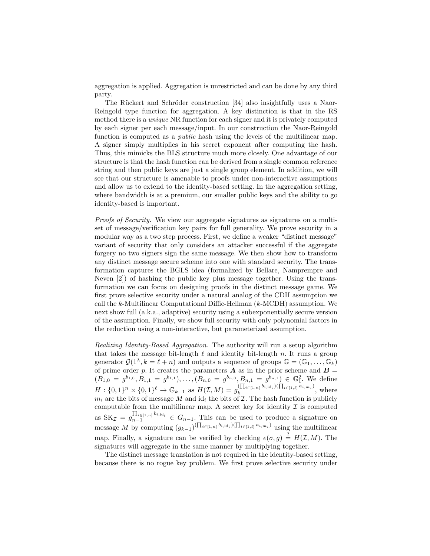aggregation is applied. Aggregation is unrestricted and can be done by any third party.

The Rückert and Schröder construction [34] also insightfully uses a Naor-Reingold type function for aggregation. A key distinction is that in the RS method there is a unique NR function for each signer and it is privately computed by each signer per each message/input. In our construction the Naor-Reingold function is computed as a *public* hash using the levels of the multilinear map. A signer simply multiplies in his secret exponent after computing the hash. Thus, this mimicks the BLS structure much more closely. One advantage of our structure is that the hash function can be derived from a single common reference string and then public keys are just a single group element. In addition, we will see that our structure is amenable to proofs under non-interactive assumptions and allow us to extend to the identity-based setting. In the aggregation setting, where bandwidth is at a premium, our smaller public keys and the ability to go identity-based is important.

Proofs of Security. We view our aggregate signatures as signatures on a multiset of message/verification key pairs for full generality. We prove security in a modular way as a two step process. First, we define a weaker "distinct message" variant of security that only considers an attacker successful if the aggregate forgery no two signers sign the same message. We then show how to transform any distinct message secure scheme into one with standard security. The transformation captures the BGLS idea (formalized by Bellare, Namprempre and Neven [2]) of hashing the public key plus message together. Using the transformation we can focus on designing proofs in the distinct message game. We first prove selective security under a natural analog of the CDH assumption we call the k-Multilinear Computational Diffie-Hellman (k-MCDH) assumption. We next show full (a.k.a., adaptive) security using a subexponentially secure version of the assumption. Finally, we show full security with only polynomial factors in the reduction using a non-interactive, but parameterized assumption.

Realizing Identity-Based Aggregation. The authority will run a setup algorithm that takes the message bit-length  $\ell$  and identity bit-length n. It runs a group generator  $\mathcal{G}(1^{\lambda}, k = \ell + n)$  and outputs a sequence of groups  $\mathbb{G} = (\mathbb{G}_1, \ldots, \mathbb{G}_k)$ of prime order p. It creates the parameters  $\bm{A}$  as in the prior scheme and  $\bm{B} =$  $(B_{1,0} = g^{b_{1,0}}, B_{1,1} = g^{b_{1,1}}), \ldots, (B_{n,0} = g^{b_{n,0}}, B_{n,1} = g^{b_{n,1}}) \in \mathbb{G}_1^2$ . We define  $H: \{0,1\}^n \times \{0,1\}^{\ell} \to \mathbb{G}_{k-1} \text{ as } H(\mathcal{I},M) = g_k^{(\prod_{i \in [1,n]} b_{i, \text{id}_i})(\prod_{i \in [1,\ell]} a_{i,m_i})}$  $\sum_{k=1}^{\infty}$   $\sum_{i=1}^{\infty}$   $\sum_{i=1}^{\infty}$   $\sum_{i=1}^{\infty}$  and  $\sum_{i=1}^{\infty}$  where  $m_i$  are the bits of message M and id<sub>i</sub> the bits of  $\mathcal I$ . The hash function is publicly computable from the multilinear map. A secret key for identity  $\mathcal I$  is computed as  $SK_{\mathcal{I}} = g_{n-1}^{\prod_{i \in [1,n]} b_{i,i,d_i}} \in G_{n-1}$ . This can be used to produce a signature on message M by computing  $(g_{k-1})^{(\prod_{i\in [1,n]} b_{i,i}d_i)(\prod_{i\in [1,\ell]} a_{i,m_i})}$  using the multilinear map. Finally, a signature can be verified by checking  $e(\sigma, g) \stackrel{?}{=} H(\mathcal{I}, M)$ . The signatures will aggregate in the same manner by multiplying together.

The distinct message translation is not required in the identity-based setting, because there is no rogue key problem. We first prove selective security under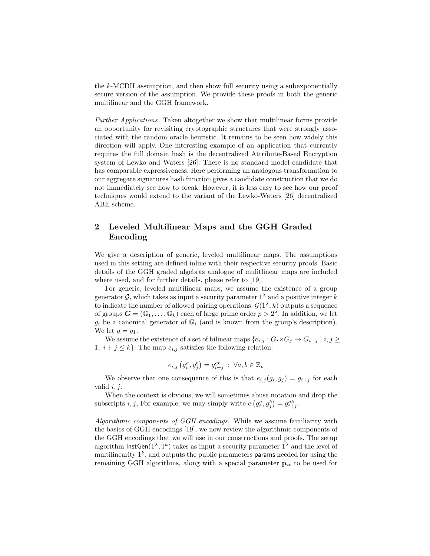the k-MCDH assumption, and then show full security using a subexponentially secure version of the assumption. We provide these proofs in both the generic multilinear and the GGH framework.

Further Applications. Taken altogether we show that multilinear forms provide an opportunity for revisiting cryptographic structures that were strongly associated with the random oracle heuristic. It remains to be seen how widely this direction will apply. One interesting example of an application that currently requires the full domain hash is the decentralized Attribute-Based Encryption system of Lewko and Waters [26]. There is no standard model candidate that has comparable expressiveness. Here performing an analogous transformation to our aggregate signatures hash function gives a candidate construction that we do not immediately see how to break. However, it is less easy to see how our proof techniques would extend to the variant of the Lewko-Waters [26] decentralized ABE scheme.

# 2 Leveled Multilinear Maps and the GGH Graded Encoding

We give a description of generic, leveled multilinear maps. The assumptions used in this setting are defined inline with their respective security proofs. Basic details of the GGH graded algebras analogue of mulitlinear maps are included where used, and for further details, please refer to [19].

For generic, leveled multilinear maps, we assume the existence of a group generator G, which takes as input a security parameter  $1^{\lambda}$  and a positive integer k to indicate the number of allowed pairing operations.  $\mathcal{G}(1^{\lambda}, k)$  outputs a sequence of groups  $\mathbf{G} = (\mathbb{G}_1, \ldots, \mathbb{G}_k)$  each of large prime order  $p > 2^{\lambda}$ . In addition, we let  $g_i$  be a canonical generator of  $\mathbb{G}_i$  (and is known from the group's description). We let  $g = g_1$ .

We assume the existence of a set of bilinear maps  $\{e_{i,j}: G_i\times G_j\to G_{i+j}\mid i,j\geq j\}$ 1;  $i + j \leq k$ . The map  $e_{i,j}$  satisfies the following relation:

$$
e_{i,j}\left(g_i^a, g_j^b\right) = g_{i+j}^{ab} \; : \; \forall a, b \in \mathbb{Z}_p
$$

We observe that one consequence of this is that  $e_{i,j}(g_i, g_j) = g_{i+j}$  for each valid  $i, j$ .

When the context is obvious, we will sometimes abuse notation and drop the subscripts *i*, *j*, For example, we may simply write  $e(g_i^a, g_j^b) = g_{i+j}^{ab}$ .

Algorithmic components of GGH encodings. While we assume familiarity with the basics of GGH encodings [19], we now review the algorithmic components of the GGH encodings that we will use in our constructions and proofs. The setup algorithm  $\mathsf{InstGen}(1^{\lambda}, 1^k)$  takes as input a security parameter  $1^{\lambda}$  and the level of multilinearity  $1^k$ , and outputs the public parameters **params** needed for using the remaining GGH algorithms, along with a special parameter  $p_{zt}$  to be used for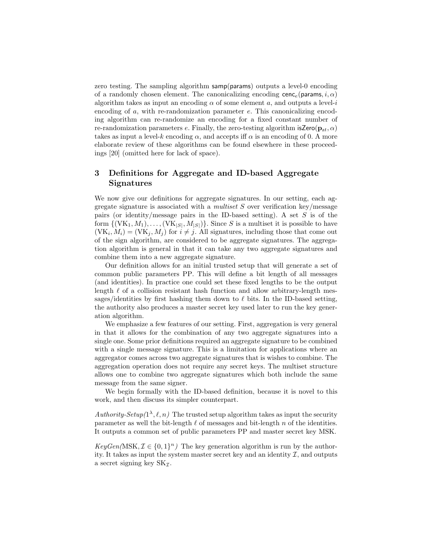zero testing. The sampling algorithm samp(params) outputs a level-0 encoding of a randomly chosen element. The canonicalizing encoding  $\text{cenc}_e(\text{params}, i, \alpha)$ algorithm takes as input an encoding  $\alpha$  of some element a, and outputs a level-i encoding of  $a$ , with re-randomization parameter  $e$ . This canonicalizing encoding algorithm can re-randomize an encoding for a fixed constant number of re-randomization parameters e. Finally, the zero-testing algorithm is $\mathsf{Zero}(\mathbf{p}_{zt}, \alpha)$ takes as input a level-k encoding  $\alpha$ , and accepts iff  $\alpha$  is an encoding of 0. A more elaborate review of these algorithms can be found elsewhere in these proceedings [20] (omitted here for lack of space).

# 3 Definitions for Aggregate and ID-based Aggregate Signatures

We now give our definitions for aggregate signatures. In our setting, each aggregate signature is associated with a *multiset S* over verification key/message pairs (or identity/message pairs in the ID-based setting). A set  $S$  is of the form  $\{(\text{VK}_1, M_1), \ldots, (\text{VK}_{|S|}, M_{|S|})\}$ . Since S is a multiset it is possible to have  $(VK_i, M_i) = (VK_j, M_j)$  for  $i \neq j$ . All signatures, including those that come out of the sign algorithm, are considered to be aggregate signatures. The aggregation algorithm is general in that it can take any two aggregate signatures and combine them into a new aggregate signature.

Our definition allows for an initial trusted setup that will generate a set of common public parameters PP. This will define a bit length of all messages (and identities). In practice one could set these fixed lengths to be the output length  $\ell$  of a collision resistant hash function and allow arbitrary-length messages/identities by first hashing them down to  $\ell$  bits. In the ID-based setting, the authority also produces a master secret key used later to run the key generation algorithm.

We emphasize a few features of our setting. First, aggregation is very general in that it allows for the combination of any two aggregate signatures into a single one. Some prior definitions required an aggregate signature to be combined with a single message signature. This is a limitation for applications where an aggregator comes across two aggregate signatures that is wishes to combine. The aggregation operation does not require any secret keys. The multiset structure allows one to combine two aggregate signatures which both include the same message from the same signer.

We begin formally with the ID-based definition, because it is novel to this work, and then discuss its simpler counterpart.

Authority-Setup( $1^{\lambda}, \ell, n$ ) The trusted setup algorithm takes as input the security parameter as well the bit-length  $\ell$  of messages and bit-length n of the identities. It outputs a common set of public parameters PP and master secret key MSK.

 $KeyGen(MSK, \mathcal{I} \in \{0,1\}^n)$  The key generation algorithm is run by the authority. It takes as input the system master secret key and an identity  $\mathcal{I}$ , and outputs a secret signing key  $SK_{\mathcal{I}}$ .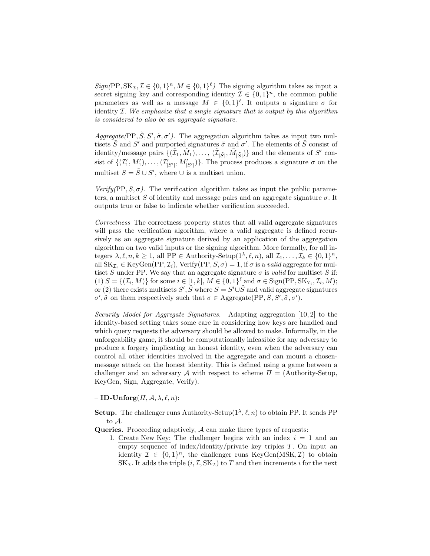$Sign(\text{PP}, \text{SK}_{\mathcal{I}}, \mathcal{I} \in \{0, 1\}^n, M \in \{0, 1\}^{\ell})$  The signing algorithm takes as input a secret signing key and corresponding identity  $\mathcal{I} \in \{0,1\}^n$ , the common public parameters as well as a message  $M \in \{0,1\}^{\ell}$ . It outputs a signature  $\sigma$  for identity  $I$ . We emphasize that a single signature that is output by this algorithm is considered to also be an aggregate signature.

Aggregate(PP,  $\tilde{S}$ ,  $S', \tilde{\sigma}, \sigma'$ ). The aggregation algorithm takes as input two multisets  $\tilde{S}$  and  $S'$  and purported signatures  $\tilde{\sigma}$  and  $\sigma'$ . The elements of  $\tilde{S}$  consist of identity/message pairs  $\{(\tilde{\mathcal{I}}_1, \tilde{M}_1), \ldots, (\tilde{\mathcal{I}}_{|\tilde{S}|}, \tilde{M}_{|\tilde{S}|})\}$  and the elements of S' consist of  $\{(I'_1, M'_1), \ldots, (I'_{|S'|}, M'_{|S'|})\}$ . The process produces a signature  $\sigma$  on the multiset  $S = \tilde{S} \cup S'$ , where  $\cup$  is a multiset union.

Verify(PP,  $S, \sigma$ ). The verification algorithm takes as input the public parameters, a multiset S of identity and message pairs and an aggregate signature  $\sigma$ . It outputs true or false to indicate whether verification succeeded.

Correctness The correctness property states that all valid aggregate signatures will pass the verification algorithm, where a valid aggregate is defined recursively as an aggregate signature derived by an application of the aggregation algorithm on two valid inputs or the signing algorithm. More formally, for all integers  $\lambda, \ell, n, k \geq 1$ , all PP  $\in$  Authority-Setup $(1^{\lambda}, \ell, n)$ , all  $\mathcal{I}_1, \ldots, \mathcal{I}_k \in \{0, 1\}^n$ , all  $SK_{\mathcal{I}_i} \in KeyGen(PP, \mathcal{I}_i)$ , Verify(PP,  $S, \sigma$ ) = 1, if  $\sigma$  is a valid aggregate for multiset S under PP. We say that an aggregate signature  $\sigma$  is valid for multiset S if: (1)  $S = \{(\mathcal{I}_i, M)\}\$ for some  $i \in [1, k]$ ,  $M \in \{0, 1\}^{\ell}$  and  $\sigma \in \text{Sign}(PP, SK_{\mathcal{I}_i}, \mathcal{I}_i, M)$ ; or (2) there exists multisets  $S', \tilde{S}$  where  $S = S' \cup \tilde{S}$  and valid aggregate signatures  $\sigma', \tilde{\sigma}$  on them respectively such that  $\sigma \in \text{Aggregate}(PP, \tilde{S}, S', \tilde{\sigma}, \sigma').$ 

Security Model for Aggregate Signatures. Adapting aggregation [10, 2] to the identity-based setting takes some care in considering how keys are handled and which query requests the adversary should be allowed to make. Informally, in the unforgeability game, it should be computationally infeasible for any adversary to produce a forgery implicating an honest identity, even when the adversary can control all other identities involved in the aggregate and can mount a chosenmessage attack on the honest identity. This is defined using a game between a challenger and an adversary A with respect to scheme  $\Pi = ($ Authority-Setup, KeyGen, Sign, Aggregate, Verify).

 $-I$ **D**-**Unforg** $(\Pi, \mathcal{A}, \lambda, \ell, n)$ :

- **Setup.** The challenger runs Authority-Setup $(1^{\lambda}, \ell, n)$  to obtain PP. It sends PP to  $A$
- Queries. Proceeding adaptively, A can make three types of requests:
	- 1. Create New Key: The challenger begins with an index  $i = 1$  and an empty sequence of index/identity/private key triples T. On input an identity  $\mathcal{I} \in \{0,1\}^n$ , the challenger runs KeyGen(MSK,  $\mathcal{I}$ ) to obtain  $SK_{\mathcal{I}}$ . It adds the triple  $(i, \mathcal{I}, SK_{\mathcal{I}})$  to T and then increments i for the next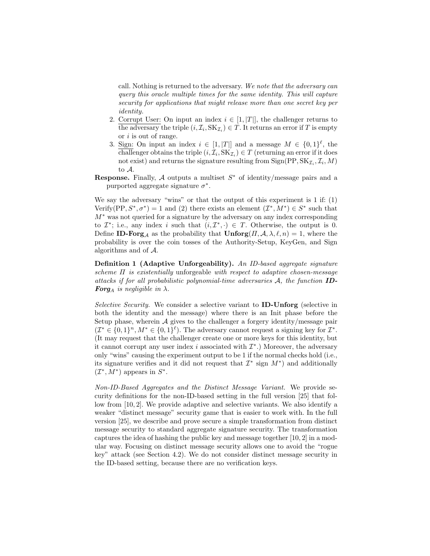call. Nothing is returned to the adversary. We note that the adversary can query this oracle multiple times for the same identity. This will capture security for applications that might release more than one secret key per identity.

- 2. Corrupt User: On input an index  $i \in [1, |T|]$ , the challenger returns to the adversary the triple  $(i, \mathcal{I}_i, \text{SK}_{\mathcal{I}_i}) \in T$ . It returns an error if T is empty or i is out of range.
- 3. Sign: On input an index  $i \in [1, |T|]$  and a message  $M \in \{0, 1\}^{\ell}$ , the challenger obtains the triple  $(i, \mathcal{I}_i, SK_{\mathcal{I}_i}) \in T$  (returning an error if it does not exist) and returns the signature resulting from  $Sign(PP, SK_{\mathcal{I}_i}, \mathcal{I}_i, M)$ to A.
- **Response.** Finally,  $\mathcal A$  outputs a multiset  $S^*$  of identity/message pairs and a purported aggregate signature  $\sigma^*$ .

We say the adversary "wins" or that the output of this experiment is  $1$  if:  $(1)$ Verify(PP,  $S^*, \sigma^*$ ) = 1 and (2) there exists an element  $(\mathcal{I}^*, M^*) \in S^*$  such that  $M^*$  was not queried for a signature by the adversary on any index corresponding to  $\mathcal{I}^*$ ; i.e., any index i such that  $(i, \mathcal{I}^*, \cdot) \in T$ . Otherwise, the output is 0. Define **ID-Forg**<sub>A</sub> as the probability that  $\text{Unforg}(H, \mathcal{A}, \lambda, \ell, n) = 1$ , where the probability is over the coin tosses of the Authority-Setup, KeyGen, and Sign algorithms and of A.

Definition 1 (Adaptive Unforgeability). An ID-based aggregate signature scheme  $\Pi$  is existentially unforgeable with respect to adaptive chosen-message attacks if for all probabilistic polynomial-time adversaries A, the function ID-**Forg**<sub>A</sub> is negligible in  $\lambda$ .

Selective Security. We consider a selective variant to **ID-Unforg** (selective in both the identity and the message) where there is an Init phase before the Setup phase, wherein  $\mathcal A$  gives to the challenger a forgery identity/message pair  $(\mathcal{I}^* \in \{0,1\}^n, M^* \in \{0,1\}^{\ell})$ . The adversary cannot request a signing key for  $\mathcal{I}^*$ . (It may request that the challenger create one or more keys for this identity, but it cannot corrupt any user index i associated with  $\mathcal{I}^*$ .) Moreover, the adversary only "wins" causing the experiment output to be 1 if the normal checks hold (i.e., its signature verifies and it did not request that  $\mathcal{I}^*$  sign  $M^*$ ) and additionally  $(\mathcal{I}^*, M^*)$  appears in  $S^*$ .

Non-ID-Based Aggregates and the Distinct Message Variant. We provide security definitions for the non-ID-based setting in the full version [25] that follow from [10, 2]. We provide adaptive and selective variants. We also identify a weaker "distinct message" security game that is easier to work with. In the full version [25], we describe and prove secure a simple transformation from distinct message security to standard aggregate signature security. The transformation captures the idea of hashing the public key and message together [10, 2] in a modular way. Focusing on distinct message security allows one to avoid the "rogue key" attack (see Section 4.2). We do not consider distinct message security in the ID-based setting, because there are no verification keys.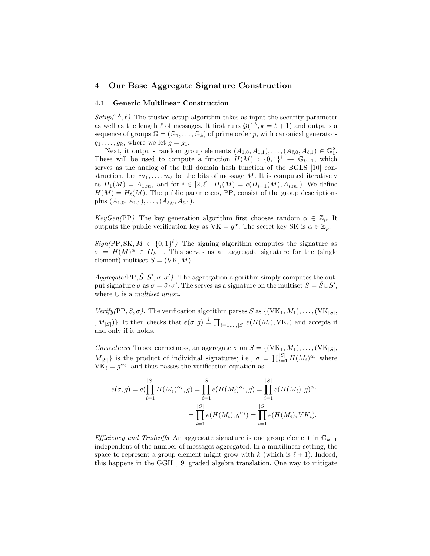# 4 Our Base Aggregate Signature Construction

#### 4.1 Generic Multlinear Construction

 $Setup(1^{\lambda}, \ell)$  The trusted setup algorithm takes as input the security parameter as well as the length  $\ell$  of messages. It first runs  $\mathcal{G}(1^{\lambda}, k = \ell + 1)$  and outputs a sequence of groups  $\mathbb{G} = (\mathbb{G}_1, \ldots, \mathbb{G}_k)$  of prime order p, with canonical generators  $g_1, \ldots, g_k$ , where we let  $g = g_1$ .

Next, it outputs random group elements  $(A_{1,0}, A_{1,1}), \ldots, (A_{\ell,0}, A_{\ell,1}) \in \mathbb{G}_1^2$ . These will be used to compute a function  $H(M) : \{0,1\}^{\ell} \to \mathbb{G}_{k-1}$ , which serves as the analog of the full domain hash function of the BGLS [10] construction. Let  $m_1, \ldots, m_\ell$  be the bits of message M. It is computed iteratively as  $H_1(M) = A_{1,m_1}$  and for  $i \in [2, \ell], H_i(M) = e(H_{i-1}(M), A_{i,m_i}).$  We define  $H(M) = H_{\ell}(M)$ . The public parameters, PP, consist of the group descriptions plus  $(A_{1,0}, A_{1,1}), \ldots, (A_{\ell,0}, A_{\ell,1}).$ 

KeyGen(PP) The key generation algorithm first chooses random  $\alpha \in \mathbb{Z}_p$ . It outputs the public verification key as  $VK = g^{\alpha}$ . The secret key SK is  $\alpha \in \mathbb{Z}_p$ .

 $Sign(\text{PP}, \text{SK}, M \in \{0,1\}^{\ell})$  The signing algorithm computes the signature as  $\sigma = H(M)^{\alpha} \in G_{k-1}$ . This serves as an aggregate signature for the (single element) multiset  $S = (VK, M)$ .

Aggregate(PP,  $\tilde{S}$ ,  $S', \tilde{\sigma}, \sigma'$ ). The aggregation algorithm simply computes the output signature  $\sigma$  as  $\sigma = \tilde{\sigma} \cdot \sigma'$ . The serves as a signature on the multiset  $S = \tilde{S} \cup S'$ , where  $\cup$  is a *multiset union*.

Verify(PP, S,  $\sigma$ ). The verification algorithm parses S as { $(VK_1, M_1), \ldots, (VK_{|S|},$ ,  $M_{|S|}$ }. It then checks that  $e(\sigma, g) \stackrel{?}{=} \prod_{i=1,\dots,|S|} e(H(M_i), \text{VK}_i)$  and accepts if and only if it holds.

Correctness To see correctness, an aggregate  $\sigma$  on  $S = \{ (VK_1, M_1), \ldots, (VK_{|S|},$  $M_{|S|}$  is the product of individual signatures; i.e.,  $\sigma = \prod_{i=1}^{|S|} H(M_i)^{\alpha_i}$  where  $VK_i = g^{\alpha_i}$ , and thus passes the verification equation as:

$$
e(\sigma, g) = e(\prod_{i=1}^{|S|} H(M_i)^{\alpha_i}, g) = \prod_{i=1}^{|S|} e(H(M_i)^{\alpha_i}, g) = \prod_{i=1}^{|S|} e(H(M_i), g)^{\alpha_i}
$$

$$
= \prod_{i=1}^{|S|} e(H(M_i), g^{\alpha_i}) = \prod_{i=1}^{|S|} e(H(M_i), VK_i).
$$

Efficiency and Tradeoffs An aggregate signature is one group element in  $\mathbb{G}_{k-1}$ independent of the number of messages aggregated. In a multilinear setting, the space to represent a group element might grow with k (which is  $\ell + 1$ ). Indeed, this happens in the GGH [19] graded algebra translation. One way to mitigate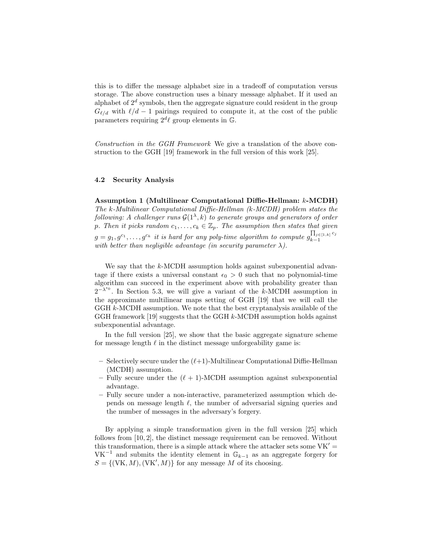this is to differ the message alphabet size in a tradeoff of computation versus storage. The above construction uses a binary message alphabet. If it used an alphabet of  $2^d$  symbols, then the aggregate signature could resident in the group  $G_{\ell/d}$  with  $\ell/d - 1$  pairings required to compute it, at the cost of the public parameters requiring  $2^d \ell$  group elements in G.

Construction in the GGH Framework We give a translation of the above construction to the GGH [19] framework in the full version of this work [25].

#### 4.2 Security Analysis

Assumption 1 (Multilinear Computational Diffie-Hellman: k-MCDH) The k-Multilinear Computational Diffie-Hellman (k-MCDH) problem states the following: A challenger runs  $\mathcal{G}(1^{\lambda},k)$  to generate groups and generators of order p. Then it picks random  $c_1, \ldots, c_k \in \mathbb{Z}_p$ . The assumption then states that given  $g = g_1, g^{c_1}, \ldots, g^{c_k}$  it is hard for any poly-time algorithm to compute  $\int_{k-1}^{\prod_{j \in [1,k]} c_j}$  $k-1$ with better than negligible advantage (in security parameter  $\lambda$ ).

We say that the k-MCDH assumption holds against subexponential advantage if there exists a universal constant  $\epsilon_0 > 0$  such that no polynomial-time algorithm can succeed in the experiment above with probability greater than  $2^{-\lambda^{e_0}}$ . In Section 5.3, we will give a variant of the k-MCDH assumption in the approximate multilinear maps setting of GGH [19] that we will call the GGH k-MCDH assumption. We note that the best cryptanalysis available of the GGH framework [19] suggests that the GGH k-MCDH assumption holds against subexponential advantage.

In the full version [25], we show that the basic aggregate signature scheme for message length  $\ell$  in the distinct message unforgeability game is:

- $-$  Selectively secure under the  $(\ell+1)$ -Multilinear Computational Diffie-Hellman (MCDH) assumption.
- Fully secure under the  $(\ell + 1)$ -MCDH assumption against subexponential advantage.
- Fully secure under a non-interactive, parameterized assumption which depends on message length  $\ell$ , the number of adversarial signing queries and the number of messages in the adversary's forgery.

By applying a simple transformation given in the full version [25] which follows from [10, 2], the distinct message requirement can be removed. Without this transformation, there is a simple attack where the attacker sets some  $VK' =$  $VK^{-1}$  and submits the identity element in  $\mathbb{G}_{k-1}$  as an aggregate forgery for  $S = \{ (VK, M), (VK', M) \}$  for any message M of its choosing.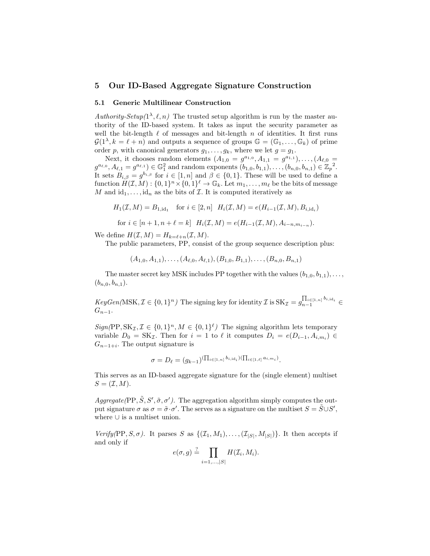# 5 Our ID-Based Aggregate Signature Construction

### 5.1 Generic Multilinear Construction

Authority-Setup( $1^{\lambda}, \ell, n$ ) The trusted setup algorithm is run by the master authority of the ID-based system. It takes as input the security parameter as well the bit-length  $\ell$  of messages and bit-length n of identities. It first runs  $\mathcal{G}(1^{\lambda}, k = \ell + n)$  and outputs a sequence of groups  $\mathbb{G} = (\mathbb{G}_1, \ldots, \mathbb{G}_k)$  of prime order p, with canonical generators  $g_1, \ldots, g_k$ , where we let  $g = g_1$ .

Next, it chooses random elements  $(A_{1,0} = g^{a_{1,0}}, A_{1,1} = g^{a_{1,1}}), \ldots, (A_{\ell,0} = g^{(\ell)}),$  $g^{a_{\ell,0}}, A_{\ell,1} = g^{a_{\ell,1}} \in \mathbb{G}_1^2$  and random exponents  $(b_{1,0}, b_{1,1}), \ldots, (b_{n,0}, b_{n,1}) \in \mathbb{Z}_p^2$ . It sets  $B_{i,\beta} = g^{b_{i,\beta}}$  for  $i \in [1,n]$  and  $\beta \in \{0,1\}$ . These will be used to define a function  $H(\mathcal{I},M): \{0,1\}^n \times \{0,1\}^{\ell} \to \mathbb{G}_k$ . Let  $m_1,\ldots,m_{\ell}$  be the bits of message M and  $id_1, \ldots, id_n$  as the bits of Z. It is computed iteratively as

$$
H_1(\mathcal{I}, M) = B_{1, id_1} \text{ for } i \in [2, n] \ H_i(\mathcal{I}, M) = e(H_{i-1}(\mathcal{I}, M), B_{i, id_i})
$$
  
for  $i \in [n+1, n+\ell=k] \ H_i(\mathcal{I}, M) = e(H_{i-1}(\mathcal{I}, M), A_{i-n, m_{i-n}}).$ 

We define  $H(\mathcal{I}, M) = H_{k=\ell+n}(\mathcal{I}, M).$ 

The public parameters, PP, consist of the group sequence description plus:

 $(A_{1,0}, A_{1,1}), \ldots, (A_{\ell,0}, A_{\ell,1}), (B_{1,0}, B_{1,1}), \ldots, (B_{n,0}, B_{n,1})$ 

The master secret key MSK includes PP together with the values  $(b_{1,0}, b_{1,1}), \ldots$ ,  $(b_{n,0}, b_{n,1}).$ 

 $KeyGen(MSK, \mathcal{I} \in \{0, 1\}^n)$  The signing key for identity  $\mathcal{I}$  is  $SK_{\mathcal{I}} = g_{n-1}^{\prod_{i \in [1, n]} b_{i, id_i}}$  $G_{n-1}$ .

 $Sign(\text{PP}, \text{SK}_{\mathcal{I}}, \mathcal{I} \in \{0,1\}^n, M \in \{0,1\}^{\ell})$  The signing algorithm lets temporary variable  $D_0 = \text{SK}_{\mathcal{I}}$ . Then for  $i = 1$  to  $\ell$  it computes  $D_i = e(D_{i-1}, A_{i,m_i}) \in$  $G_{n-1+i}$ . The output signature is

$$
\sigma = D_{\ell} = (g_{k-1})^{(\prod_{i \in [1,n]} b_{i, \text{id}_i})(\prod_{i \in [1,\ell]} a_{i, m_i})}.
$$

This serves as an ID-based aggregate signature for the (single element) multiset  $S = (\mathcal{I}, M).$ 

Aggregate(PP,  $\tilde{S}$ ,  $S', \tilde{\sigma}, \sigma'$ ). The aggregation algorithm simply computes the output signature  $\sigma$  as  $\sigma = \tilde{\sigma} \cdot \sigma'$ . The serves as a signature on the multiset  $S = \tilde{S} \cup S'$ , where ∪ is a multiset union.

Verify(PP, S,  $\sigma$ ). It parses S as  $\{(\mathcal{I}_1, M_1), \ldots, (\mathcal{I}_{|S|}, M_{|S|})\}$ . It then accepts if and only if

$$
e(\sigma, g) \stackrel{?}{=} \prod_{i=1,\ldots,|S|} H(\mathcal{I}_i, M_i).
$$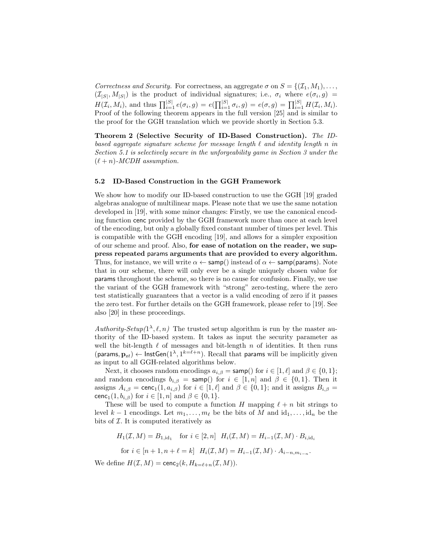Correctness and Security. For correctness, an aggregate  $\sigma$  on  $S = \{(\mathcal{I}_1, M_1), \ldots,$  $(\mathcal{I}_{|S|}, M_{|S|})$  is the product of individual signatures; i.e.,  $\sigma_i$  where  $e(\sigma_i, g)$  =  $H(\mathcal{I}_i, M_i)$ , and thus  $\prod_{i=1}^{|S|} e(\sigma_i, g) = e(\prod_{i=1}^{|S|} \sigma_i, g) = e(\sigma, g) = \prod_{i=1}^{|S|} H(\mathcal{I}_i, M_i)$ . Proof of the following theorem appears in the full version [25] and is similar to the proof for the GGH translation which we provide shortly in Section 5.3.

Theorem 2 (Selective Security of ID-Based Construction). The IDbased aggregate signature scheme for message length  $\ell$  and identity length n in Section 5.1 is selectively secure in the unforgeability game in Section 3 under the  $(\ell + n)$ -MCDH assumption.

#### 5.2 ID-Based Construction in the GGH Framework

We show how to modify our ID-based construction to use the GGH [19] graded algebras analogue of multilinear maps. Please note that we use the same notation developed in [19], with some minor changes: Firstly, we use the canonical encoding function cenc provided by the GGH framework more than once at each level of the encoding, but only a globally fixed constant number of times per level. This is compatible with the GGH encoding [19], and allows for a simpler exposition of our scheme and proof. Also, for ease of notation on the reader, we suppress repeated params arguments that are provided to every algorithm. Thus, for instance, we will write  $\alpha \leftarrow \text{ samp}()$  instead of  $\alpha \leftarrow \text{ samp}(\text{params})$ . Note that in our scheme, there will only ever be a single uniquely chosen value for params throughout the scheme, so there is no cause for confusion. Finally, we use the variant of the GGH framework with "strong" zero-testing, where the zero test statistically guarantees that a vector is a valid encoding of zero if it passes the zero test. For further details on the GGH framework, please refer to [19]. See also [20] in these proceedings.

Authority-Setup( $1^{\lambda}, \ell, n$ ) The trusted setup algorithm is run by the master authority of the ID-based system. It takes as input the security parameter as well the bit-length  $\ell$  of messages and bit-length n of identities. It then runs (params,  $\mathbf{p}_{zt}$ )  $\leftarrow$  InstGen( $1^{\lambda}$ ,  $1^{k=\ell+n}$ ). Recall that params will be implicitly given as input to all GGH-related algorithms below.

Next, it chooses random encodings  $a_{i,\beta} = \textsf{sample}($ ) for  $i \in [1, \ell]$  and  $\beta \in \{0, 1\};$ and random encodings  $b_{i,\beta} = \text{ samp}()$  for  $i \in [1,n]$  and  $\beta \in \{0,1\}$ . Then it assigns  $A_{i,\beta} = \text{cenc}_1(1, a_{i,\beta})$  for  $i \in [1, \ell]$  and  $\beta \in \{0, 1\}$ ; and it assigns  $B_{i,\beta} =$ cenc<sub>1</sub> $(1, b_{i,\beta})$  for  $i \in [1, n]$  and  $\beta \in \{0, 1\}$ .

These will be used to compute a function H mapping  $\ell + n$  bit strings to level  $k-1$  encodings. Let  $m_1, \ldots, m_\ell$  be the bits of M and  $id_1, \ldots, id_n$  be the bits of  $I$ . It is computed iteratively as

 $H_1(\mathcal{I}, M) = B_{1, \text{id}_1}$  for  $i \in [2, n]$   $H_i(\mathcal{I}, M) = H_{i-1}(\mathcal{I}, M) \cdot B_{i, \text{id}_i}$ 

for  $i \in [n+1, n+\ell = k]$   $H_i(\mathcal{I}, M) = H_{i-1}(\mathcal{I}, M) \cdot A_{i-n, m_{i-n}}.$ 

We define  $H(\mathcal{I}, M) = \text{cenc}_2(k, H_{k=\ell+n}(\mathcal{I}, M)).$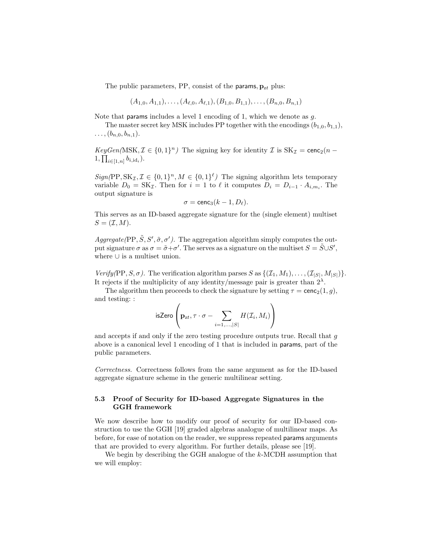The public parameters, PP, consist of the params,  $\mathbf{p}_{zt}$  plus:

$$
(A_{1,0}, A_{1,1}), \ldots, (A_{\ell,0}, A_{\ell,1}), (B_{1,0}, B_{1,1}), \ldots, (B_{n,0}, B_{n,1})
$$

Note that **params** includes a level 1 encoding of 1, which we denote as  $q$ .

The master secret key MSK includes PP together with the encodings  $(b_{1,0}, b_{1,1}),$  $\ldots$ ,  $(b_{n,0}, b_{n,1}).$ 

 $KeyGen(MSK, \mathcal{I} \in \{0, 1\}^n)$  The signing key for identity  $\mathcal{I}$  is  $SK_{\mathcal{I}} = \text{cenc}_2(n - \mathcal{I})$  $1, \prod_{i \in [1,n]} b_{i, \text{id}_i}$ .

 $Sign(\text{PP}, \text{SK}_{\mathcal{I}}, \mathcal{I} \in \{0,1\}^n, M \in \{0,1\}^{\ell})$  The signing algorithm lets temporary variable  $D_0 = \text{SK}_{\mathcal{I}}$ . Then for  $i = 1$  to  $\ell$  it computes  $D_i = D_{i-1} \cdot A_{i,m_i}$ . The output signature is

$$
\sigma = \text{cenc}_3(k-1, D_\ell).
$$

This serves as an ID-based aggregate signature for the (single element) multiset  $S = (\mathcal{I}, M).$ 

Aggregate(PP,  $\tilde{S}$ ,  $S', \tilde{\sigma}, \sigma'$ ). The aggregation algorithm simply computes the output signature  $\sigma$  as  $\sigma = \tilde{\sigma} + \sigma'$ . The serves as a signature on the multiset  $S = \tilde{S} \cup S'$ , where ∪ is a multiset union.

Verify(PP, S,  $\sigma$ ). The verification algorithm parses S as  $\{(\mathcal{I}_1, M_1), \ldots, (\mathcal{I}_{|S|}, M_{|S|})\}.$ It rejects if the multiplicity of any identity/message pair is greater than  $2^{\lambda}$ .

The algorithm then proceeds to check the signature by setting  $\tau = \text{cenc}_2(1, q)$ , and testing: :

isZero 
$$
\left(\mathbf{p}_{zt}, \tau \cdot \sigma - \sum_{i=1,\ldots,|S|} H(\mathcal{I}_i, M_i)\right)
$$

and accepts if and only if the zero testing procedure outputs true. Recall that  $g$ above is a canonical level 1 encoding of 1 that is included in params, part of the public parameters.

Correctness. Correctness follows from the same argument as for the ID-based aggregate signature scheme in the generic multilinear setting.

# 5.3 Proof of Security for ID-based Aggregate Signatures in the GGH framework

We now describe how to modify our proof of security for our ID-based construction to use the GGH [19] graded algebras analogue of multilinear maps. As before, for ease of notation on the reader, we suppress repeated params arguments that are provided to every algorithm. For further details, please see [19].

We begin by describing the GGH analogue of the  $k$ -MCDH assumption that we will employ: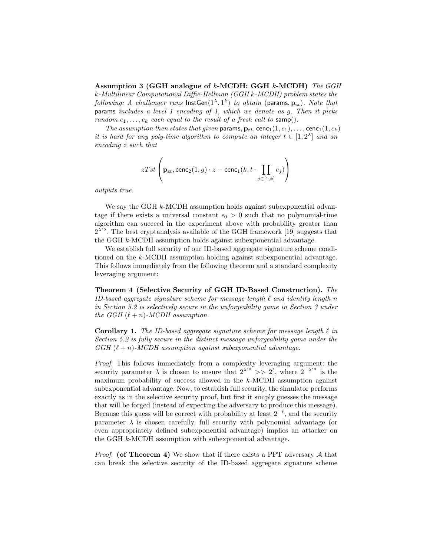Assumption 3 (GGH analogue of k-MCDH: GGH k-MCDH) The GGH k-Multilinear Computational Diffie-Hellman (GGH k-MCDH) problem states the following: A challenger runs  ${\sf InstGen}(1^\lambda,1^k)$  to obtain  $({\sf params},{\bf p}_{zt})$ . Note that params includes a level 1 encoding of 1, which we denote as g. Then it picks random  $c_1, \ldots, c_k$  each equal to the result of a fresh call to samp().

The assumption then states that given params,  $p_{zt}$ , cenc<sub>1</sub> $(1, c_1)$ , ..., cenc<sub>1</sub> $(1, c_k)$ it is hard for any poly-time algorithm to compute an integer  $t \in [1,2^{\lambda}]$  and an encoding z such that

$$
zTst\left(\mathbf{p}_{zt},\mathsf{cenc}_2(1,g)\cdot z-\mathsf{cenc}_1(k,t\cdot\prod_{j\in[1,k]}c_j)\right)
$$

outputs true.

We say the GGH k-MCDH assumption holds against subexponential advantage if there exists a universal constant  $\epsilon_0 > 0$  such that no polynomial-time algorithm can succeed in the experiment above with probability greater than  $2^{\lambda^{\epsilon_0}}$ . The best cryptanalysis available of the GGH framework [19] suggests that the GGH k-MCDH assumption holds against subexponential advantage.

We establish full security of our ID-based aggregate signature scheme conditioned on the k-MCDH assumption holding against subexponential advantage. This follows immediately from the following theorem and a standard complexity leveraging argument:

Theorem 4 (Selective Security of GGH ID-Based Construction). The ID-based aggregate signature scheme for message length  $\ell$  and identity length n in Section 5.2 is selectively secure in the unforgeability game in Section 3 under the GGH  $(\ell + n)$ -MCDH assumption.

**Corollary 1.** The ID-based aggregate signature scheme for message length  $\ell$  in Section 5.2 is fully secure in the distinct message unforgeability game under the  $GGH$  ( $\ell + n$ )-MCDH assumption against subexponential advantage.

Proof. This follows immediately from a complexity leveraging argument: the security parameter  $\lambda$  is chosen to ensure that  $2^{\lambda^{e_0}} >> 2^{\ell}$ , where  $2^{-\lambda^{e_0}}$  is the maximum probability of success allowed in the  $k$ -MCDH assumption against subexponential advantage. Now, to establish full security, the simulator performs exactly as in the selective security proof, but first it simply guesses the message that will be forged (instead of expecting the adversary to produce this message). Because this guess will be correct with probability at least  $2^{-\ell}$ , and the security parameter  $\lambda$  is chosen carefully, full security with polynomial advantage (or even appropriately defined subexponential advantage) implies an attacker on the GGH k-MCDH assumption with subexponential advantage.

*Proof.* (of Theorem 4) We show that if there exists a PPT adversary  $A$  that can break the selective security of the ID-based aggregate signature scheme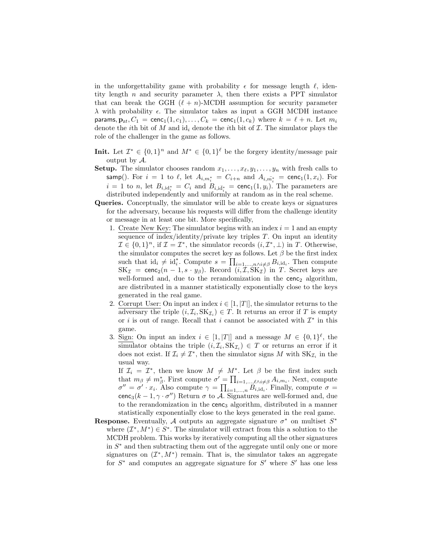in the unforgettability game with probability  $\epsilon$  for message length  $\ell$ , identity length n and security parameter  $\lambda$ , then there exists a PPT simulator that can break the GGH  $(\ell + n)$ -MCDH assumption for security parameter  $\lambda$  with probability  $\epsilon$ . The simulator takes as input a GGH MCDH instance params,  $p_{zt}$ ,  $C_1$  = cenc<sub>1</sub>(1, c<sub>1</sub>), ...,  $C_k$  = cenc<sub>1</sub>(1, c<sub>k</sub>) where  $k = \ell + n$ . Let  $m_i$ denote the *i*th bit of M and  $\mathrm{id}_i$  denote the *i*th bit of  $\mathcal I$ . The simulator plays the role of the challenger in the game as follows.

- **Init.** Let  $\mathcal{I}^* \in \{0,1\}^n$  and  $M^* \in \{0,1\}^{\ell}$  be the forgery identity/message pair output by  $\mathcal{A}$ .
- **Setup.** The simulator chooses random  $x_1, \ldots, x_\ell, y_1, \ldots, y_n$  with fresh calls to samp(). For  $i = 1$  to  $\ell$ , let  $A_{i,m_i^*} = C_{i+n}$  and  $A_{i,m_i^*} = \text{cenc}_1(1,x_i)$ . For  $i = 1$  to n, let  $B_{i, id_i^*} = C_i$  and  $B_{i, id_i^*} = \text{cenc}_1(1, y_i)$ . The parameters are distributed independently and uniformly at random as in the real scheme.
- Queries. Conceptually, the simulator will be able to create keys or signatures for the adversary, because his requests will differ from the challenge identity or message in at least one bit. More specifically,
	- 1. Create New Key: The simulator begins with an index  $i = 1$  and an empty sequence of index/identity/private key triples  $T$ . On input an identity  $\mathcal{I} \in \{0,1\}^n$ , if  $\mathcal{I} = \mathcal{I}^*$ , the simulator records  $(i, \mathcal{I}^*, \perp)$  in T. Otherwise, the simulator computes the secret key as follows. Let  $\beta$  be the first index such that  $\mathrm{id}_i \neq \mathrm{id}_i^*$ . Compute  $s = \prod_{i=1,\dots,n} \lambda_i \neq \beta B_{i,\mathrm{id}_i}$ . Then compute  $\text{SK}_{\mathcal{I}}$  = cenc<sub>2</sub>(n – 1, s · y<sub>β</sub>). Record (i, I, SK<sub>I</sub>) in T. Secret keys are well-formed and, due to the rerandomization in the  $cenc_2$  algorithm, are distributed in a manner statistically exponentially close to the keys generated in the real game.
	- 2. Corrupt User: On input an index  $i \in [1, |T|]$ , the simulator returns to the adversary the triple  $(i, \mathcal{I}_i, \text{SK}_{\mathcal{I}_i}) \in T$ . It returns an error if T is empty or i is out of range. Recall that i cannot be associated with  $\mathcal{I}^*$  in this game.
	- 3. Sign: On input an index  $i \in [1, |T|]$  and a message  $M \in \{0, 1\}^{\ell}$ , the simulator obtains the triple  $(i, \mathcal{I}_i, SK_{\mathcal{I}_i}) \in T$  or returns an error if it does not exist. If  $\mathcal{I}_i \neq \mathcal{I}^*$ , then the simulator signs M with  $\text{SK}_{\mathcal{I}_i}$  in the usual way.

If  $\mathcal{I}_i = \mathcal{I}^*$ , then we know  $M \neq M^*$ . Let  $\beta$  be the first index such that  $m_{\beta} \neq m_{\beta}^*$ . First compute  $\sigma' = \prod_{i=1,\dots,\ell \wedge i \neq \beta} A_{i,m_i}$ . Next, compute  $\sigma'' = \sigma' \cdot x_i$ . Also compute  $\gamma = \prod_{i=1,\dots,n} B_{i, \text{id}_i}$ . Finally, compute  $\sigma =$ cenc<sub>3</sub>( $k - 1, \gamma \cdot \sigma'$ ) Return  $\sigma$  to A. Signatures are well-formed and, due to the rerandomization in the  $cenc_3$  algorithm, distributed in a manner statistically exponentially close to the keys generated in the real game.

**Response.** Eventually, A outputs an aggregate signature  $\sigma^*$  on multiset  $S^*$ where  $(\mathcal{I}^*, M^*) \in S^*$ . The simulator will extract from this a solution to the MCDH problem. This works by iteratively computing all the other signatures in  $S^*$  and then subtracting them out of the aggregate until only one or more signatures on  $(\mathcal{I}^*, M^*)$  remain. That is, the simulator takes an aggregate for  $S^*$  and computes an aggregate signature for  $S'$  where  $S'$  has one less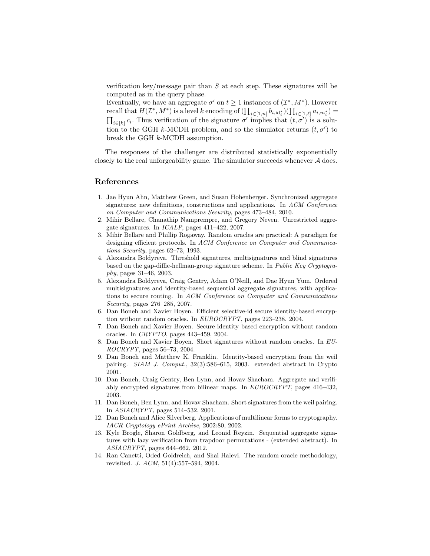verification key/message pair than  $S$  at each step. These signatures will be computed as in the query phase.

Eventually, we have an aggregate  $\sigma'$  on  $t \geq 1$  instances of  $(\mathcal{I}^*, M^*)$ . However recall that  $H(\mathcal{I}^*, M^*)$  is a level k encoding of  $\left(\prod_{i\in [1,n]} b_{i, \text{id}_i^*}\right) \left(\prod_{i\in [1,\ell]} a_{i, m_i^*}\right) =$  $\prod_{i\in[k]}c_i$ . Thus verification of the signature  $\sigma'$  implies that  $(t,\sigma')$  is a solution to the GGH k-MCDH problem, and so the simulator returns  $(t, \sigma')$  to break the GGH k-MCDH assumption.

The responses of the challenger are distributed statistically exponentially closely to the real unforgeability game. The simulator succeeds whenever A does.

# References

- 1. Jae Hyun Ahn, Matthew Green, and Susan Hohenberger. Synchronized aggregate signatures: new definitions, constructions and applications. In ACM Conference on Computer and Communications Security, pages 473–484, 2010.
- 2. Mihir Bellare, Chanathip Namprempre, and Gregory Neven. Unrestricted aggregate signatures. In ICALP, pages 411–422, 2007.
- 3. Mihir Bellare and Phillip Rogaway. Random oracles are practical: A paradigm for designing efficient protocols. In ACM Conference on Computer and Communications Security, pages 62–73, 1993.
- 4. Alexandra Boldyreva. Threshold signatures, multisignatures and blind signatures based on the gap-diffie-hellman-group signature scheme. In Public Key Cryptography, pages 31–46, 2003.
- 5. Alexandra Boldyreva, Craig Gentry, Adam O'Neill, and Dae Hyun Yum. Ordered multisignatures and identity-based sequential aggregate signatures, with applications to secure routing. In ACM Conference on Computer and Communications Security, pages 276–285, 2007.
- 6. Dan Boneh and Xavier Boyen. Efficient selective-id secure identity-based encryption without random oracles. In EUROCRYPT, pages 223–238, 2004.
- 7. Dan Boneh and Xavier Boyen. Secure identity based encryption without random oracles. In CRYPTO, pages 443–459, 2004.
- 8. Dan Boneh and Xavier Boyen. Short signatures without random oracles. In EU-ROCRYPT, pages 56–73, 2004.
- 9. Dan Boneh and Matthew K. Franklin. Identity-based encryption from the weil pairing. SIAM J. Comput., 32(3):586–615, 2003. extended abstract in Crypto 2001.
- 10. Dan Boneh, Craig Gentry, Ben Lynn, and Hovav Shacham. Aggregate and verifiably encrypted signatures from bilinear maps. In EUROCRYPT, pages 416–432, 2003.
- 11. Dan Boneh, Ben Lynn, and Hovav Shacham. Short signatures from the weil pairing. In ASIACRYPT, pages 514–532, 2001.
- 12. Dan Boneh and Alice Silverberg. Applications of multilinear forms to cryptography. IACR Cryptology ePrint Archive, 2002:80, 2002.
- 13. Kyle Brogle, Sharon Goldberg, and Leonid Reyzin. Sequential aggregate signatures with lazy verification from trapdoor permutations - (extended abstract). In ASIACRYPT, pages 644–662, 2012.
- 14. Ran Canetti, Oded Goldreich, and Shai Halevi. The random oracle methodology, revisited. J. ACM, 51(4):557–594, 2004.